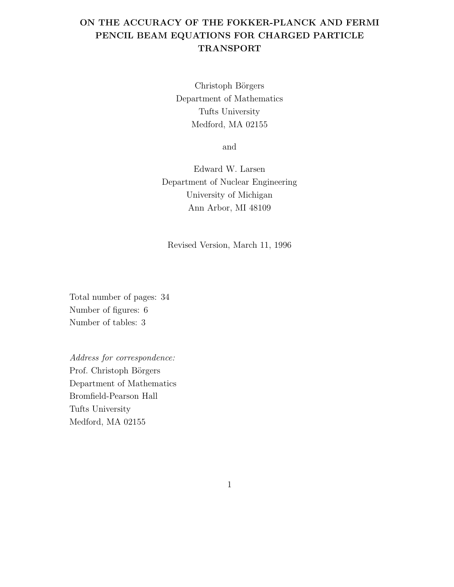## ON THE ACCURACY OF THE FOKKER-PLANCK AND FERMI PENCIL BEAM EQUATIONS FOR CHARGED PARTICLE TRANSPORT

Christoph Börgers Department of Mathematics Tufts University Medford, MA 02155

and

Edward W. Larsen Department of Nuclear Engineering University of Michigan Ann Arbor, MI 48109

Revised Version, March 11, 1996

Total number of pages: 34 Number of figures: 6 Number of tables: 3

Address for correspondence: Prof. Christoph Börgers Department of Mathematics Bromfield-Pearson Hall Tufts University Medford, MA 02155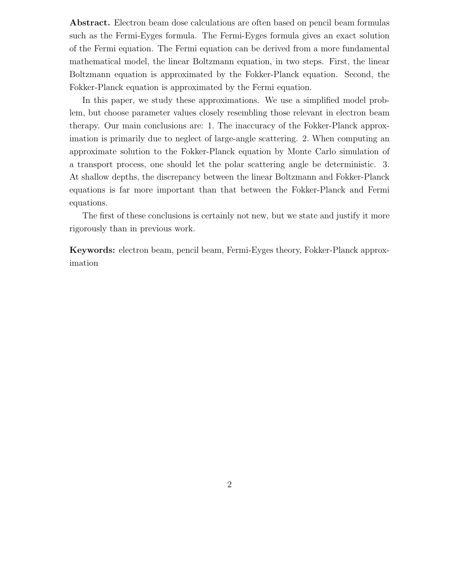Abstract. Electron beam dose calculations are often based on pencil beam formulas such as the Fermi-Eyges formula. The Fermi-Eyges formula gives an exact solution of the Fermi equation. The Fermi equation can be derived from a more fundamental mathematical model, the linear Boltzmann equation, in two steps. First, the linear Boltzmann equation is approximated by the Fokker-Planck equation. Second, the Fokker-Planck equation is approximated by the Fermi equation.

In this paper, we study these approximations. We use a simplified model problem, but choose parameter values closely resembling those relevant in electron beam therapy. Our main conclusions are: 1. The inaccuracy of the Fokker-Planck approximation is primarily due to neglect of large-angle scattering. 2. When computing an approximate solution to the Fokker-Planck equation by Monte Carlo simulation of a transport process, one should let the polar scattering angle be deterministic. 3. At shallow depths, the discrepancy between the linear Boltzmann and Fokker-Planck equations is far more important than that between the Fokker-Planck and Fermi equations.

The first of these conclusions is certainly not new, but we state and justify it more rigorously than in previous work.

Keywords: electron beam, pencil beam, Fermi-Eyges theory, Fokker-Planck approximation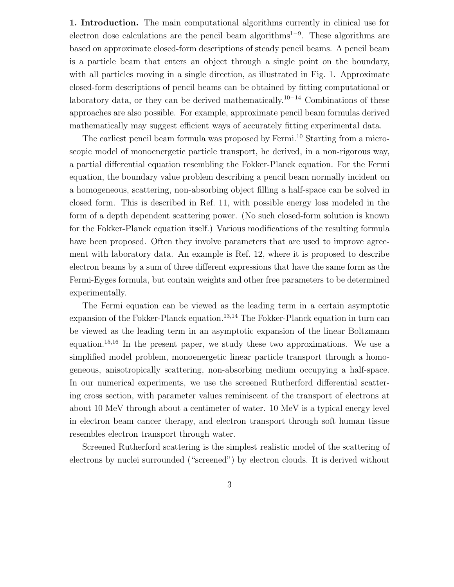1. Introduction. The main computational algorithms currently in clinical use for electron dose calculations are the pencil beam algorithms<sup>1-9</sup>. These algorithms are based on approximate closed-form descriptions of steady pencil beams. A pencil beam is a particle beam that enters an object through a single point on the boundary, with all particles moving in a single direction, as illustrated in Fig. 1. Approximate closed-form descriptions of pencil beams can be obtained by fitting computational or laboratory data, or they can be derived mathematically.<sup>10</sup>−<sup>14</sup> Combinations of these approaches are also possible. For example, approximate pencil beam formulas derived mathematically may suggest efficient ways of accurately fitting experimental data.

The earliest pencil beam formula was proposed by Fermi.<sup>10</sup> Starting from a microscopic model of monoenergetic particle transport, he derived, in a non-rigorous way, a partial differential equation resembling the Fokker-Planck equation. For the Fermi equation, the boundary value problem describing a pencil beam normally incident on a homogeneous, scattering, non-absorbing object filling a half-space can be solved in closed form. This is described in Ref. 11, with possible energy loss modeled in the form of a depth dependent scattering power. (No such closed-form solution is known for the Fokker-Planck equation itself.) Various modifications of the resulting formula have been proposed. Often they involve parameters that are used to improve agreement with laboratory data. An example is Ref. 12, where it is proposed to describe electron beams by a sum of three different expressions that have the same form as the Fermi-Eyges formula, but contain weights and other free parameters to be determined experimentally.

The Fermi equation can be viewed as the leading term in a certain asymptotic expansion of the Fokker-Planck equation.<sup>13,14</sup> The Fokker-Planck equation in turn can be viewed as the leading term in an asymptotic expansion of the linear Boltzmann equation.<sup>15</sup>,<sup>16</sup> In the present paper, we study these two approximations. We use a simplified model problem, monoenergetic linear particle transport through a homogeneous, anisotropically scattering, non-absorbing medium occupying a half-space. In our numerical experiments, we use the screened Rutherford differential scattering cross section, with parameter values reminiscent of the transport of electrons at about 10 MeV through about a centimeter of water. 10 MeV is a typical energy level in electron beam cancer therapy, and electron transport through soft human tissue resembles electron transport through water.

Screened Rutherford scattering is the simplest realistic model of the scattering of electrons by nuclei surrounded ("screened") by electron clouds. It is derived without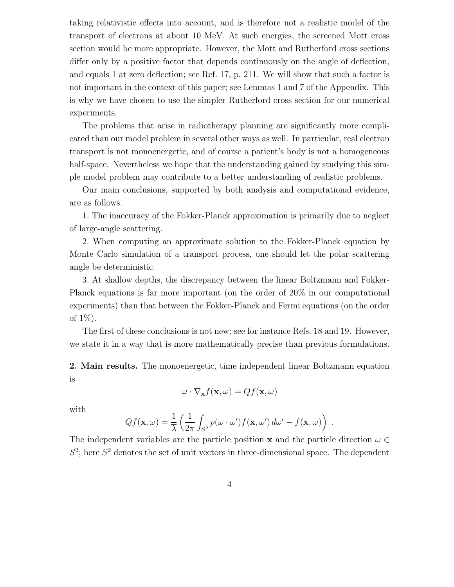taking relativistic effects into account, and is therefore not a realistic model of the transport of electrons at about 10 MeV. At such energies, the screened Mott cross section would be more appropriate. However, the Mott and Rutherford cross sections differ only by a positive factor that depends continuously on the angle of deflection, and equals 1 at zero deflection; see Ref. 17, p. 211. We will show that such a factor is not important in the context of this paper; see Lemmas 1 and 7 of the Appendix. This is why we have chosen to use the simpler Rutherford cross section for our numerical experiments.

The problems that arise in radiotherapy planning are significantly more complicated than our model problem in several other ways as well. In particular, real electron transport is not monoenergetic, and of course a patient's body is not a homogeneous half-space. Nevertheless we hope that the understanding gained by studying this simple model problem may contribute to a better understanding of realistic problems.

Our main conclusions, supported by both analysis and computational evidence, are as follows.

1. The inaccuracy of the Fokker-Planck approximation is primarily due to neglect of large-angle scattering.

2. When computing an approximate solution to the Fokker-Planck equation by Monte Carlo simulation of a transport process, one should let the polar scattering angle be deterministic.

3. At shallow depths, the discrepancy between the linear Boltzmann and Fokker-Planck equations is far more important (on the order of 20% in our computational experiments) than that between the Fokker-Planck and Fermi equations (on the order of 1%).

The first of these conclusions is not new; see for instance Refs. 18 and 19. However, we state it in a way that is more mathematically precise than previous formulations.

2. Main results. The monoenergetic, time independent linear Boltzmann equation is

$$
\omega \cdot \nabla_{\mathbf{x}} f(\mathbf{x}, \omega) = Qf(\mathbf{x}, \omega)
$$

with

$$
Qf(\mathbf{x},\omega) = \frac{1}{\overline{\lambda}} \left( \frac{1}{2\pi} \int_{S^2} p(\omega \cdot \omega') f(\mathbf{x}, \omega') d\omega' - f(\mathbf{x}, \omega) \right)
$$

.

The independent variables are the particle position **x** and the particle direction  $\omega \in$  $S^2$ ; here  $S^2$  denotes the set of unit vectors in three-dimensional space. The dependent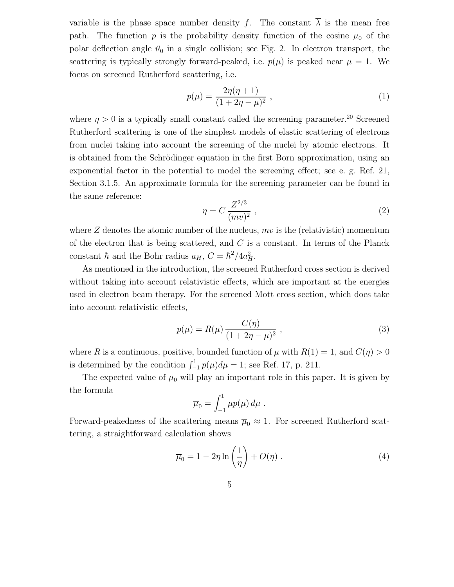variable is the phase space number density f. The constant  $\overline{\lambda}$  is the mean free path. The function p is the probability density function of the cosine  $\mu_0$  of the polar deflection angle  $\vartheta_0$  in a single collision; see Fig. 2. In electron transport, the scattering is typically strongly forward-peaked, i.e.  $p(\mu)$  is peaked near  $\mu = 1$ . We focus on screened Rutherford scattering, i.e.

$$
p(\mu) = \frac{2\eta(\eta + 1)}{(1 + 2\eta - \mu)^2},
$$
\n(1)

where  $\eta > 0$  is a typically small constant called the screening parameter.<sup>20</sup> Screened Rutherford scattering is one of the simplest models of elastic scattering of electrons from nuclei taking into account the screening of the nuclei by atomic electrons. It is obtained from the Schrödinger equation in the first Born approximation, using an exponential factor in the potential to model the screening effect; see e. g. Ref. 21, Section 3.1.5. An approximate formula for the screening parameter can be found in the same reference:

$$
\eta = C \frac{Z^{2/3}}{(mv)^2} \,,\tag{2}
$$

where  $Z$  denotes the atomic number of the nucleus,  $mv$  is the (relativistic) momentum of the electron that is being scattered, and  $C$  is a constant. In terms of the Planck constant  $\hbar$  and the Bohr radius  $a_H$ ,  $C = \hbar^2/4a_H^2$ .

As mentioned in the introduction, the screened Rutherford cross section is derived without taking into account relativistic effects, which are important at the energies used in electron beam therapy. For the screened Mott cross section, which does take into account relativistic effects,

$$
p(\mu) = R(\mu) \frac{C(\eta)}{(1 + 2\eta - \mu)^2},
$$
\n(3)

where R is a continuous, positive, bounded function of  $\mu$  with  $R(1) = 1$ , and  $C(\eta) > 0$ is determined by the condition  $\int_{-1}^{1} p(\mu) d\mu = 1$ ; see Ref. 17, p. 211.

The expected value of  $\mu_0$  will play an important role in this paper. It is given by the formula

$$
\overline{\mu}_0 = \int_{-1}^1 \mu p(\mu) d\mu.
$$

Forward-peakedness of the scattering means  $\overline{\mu}_0 \approx 1$ . For screened Rutherford scattering, a straightforward calculation shows

$$
\overline{\mu}_0 = 1 - 2\eta \ln\left(\frac{1}{\eta}\right) + O(\eta) \tag{4}
$$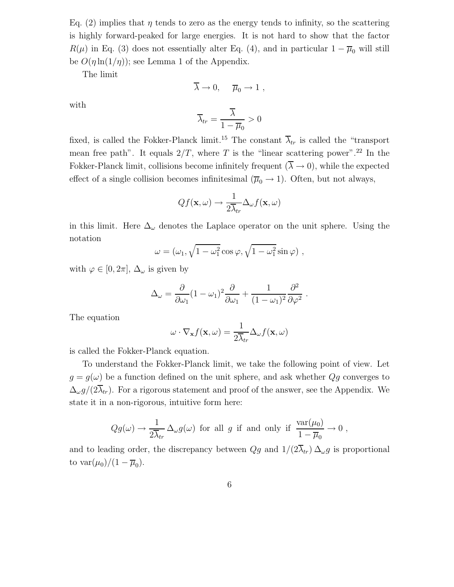Eq. (2) implies that  $\eta$  tends to zero as the energy tends to infinity, so the scattering is highly forward-peaked for large energies. It is not hard to show that the factor  $R(\mu)$  in Eq. (3) does not essentially alter Eq. (4), and in particular  $1 - \overline{\mu}_0$  will still be  $O(\eta \ln(1/\eta))$ ; see Lemma 1 of the Appendix.

The limit

$$
\overline{\lambda} \to 0, \quad \overline{\mu}_0 \to 1 ,
$$

with

$$
\overline{\lambda}_{tr} = \frac{\overline{\lambda}}{1 - \overline{\mu}_0} > 0
$$

fixed, is called the Fokker-Planck limit.<sup>15</sup> The constant  $\overline{\lambda}_{tr}$  is called the "transport" mean free path". It equals  $2/T$ , where T is the "linear scattering power".<sup>22</sup> In the Fokker-Planck limit, collisions become infinitely frequent  $(\overline{\lambda} \to 0)$ , while the expected effect of a single collision becomes infinitesimal  $(\overline{\mu}_0 \to 1)$ . Often, but not always,

$$
Qf(\mathbf{x}, \omega) \rightarrow \frac{1}{2\overline{\lambda}_{tr}} \Delta_{\omega} f(\mathbf{x}, \omega)
$$

in this limit. Here  $\Delta_{\omega}$  denotes the Laplace operator on the unit sphere. Using the notation

$$
\omega = (\omega_1, \sqrt{1 - \omega_1^2} \cos \varphi, \sqrt{1 - \omega_1^2} \sin \varphi) ,
$$

with  $\varphi \in [0, 2\pi]$ ,  $\Delta_{\omega}$  is given by

$$
\Delta_{\omega} = \frac{\partial}{\partial \omega_1} (1 - \omega_1)^2 \frac{\partial}{\partial \omega_1} + \frac{1}{(1 - \omega_1)^2} \frac{\partial^2}{\partial \varphi^2}.
$$

The equation

$$
\omega \cdot \nabla_{\mathbf{x}} f(\mathbf{x}, \omega) = \frac{1}{2\overline{\lambda}_{tr}} \Delta_{\omega} f(\mathbf{x}, \omega)
$$

is called the Fokker-Planck equation.

To understand the Fokker-Planck limit, we take the following point of view. Let  $g = g(\omega)$  be a function defined on the unit sphere, and ask whether  $Qg$  converges to  $\Delta_{\omega} g/(2\overline{\lambda}_{tr})$ . For a rigorous statement and proof of the answer, see the Appendix. We state it in a non-rigorous, intuitive form here:

$$
Qg(\omega) \to \frac{1}{2\overline{\lambda}_{tr}} \Delta_{\omega} g(\omega)
$$
 for all g if and only if  $\frac{\text{var}(\mu_0)}{1 - \overline{\mu}_0} \to 0$ ,

and to leading order, the discrepancy between  $Qg$  and  $1/(2\overline{\lambda}_{tr}) \Delta_{\omega}g$  is proportional to var $(\mu_0)/(1-\overline{\mu}_0)$ .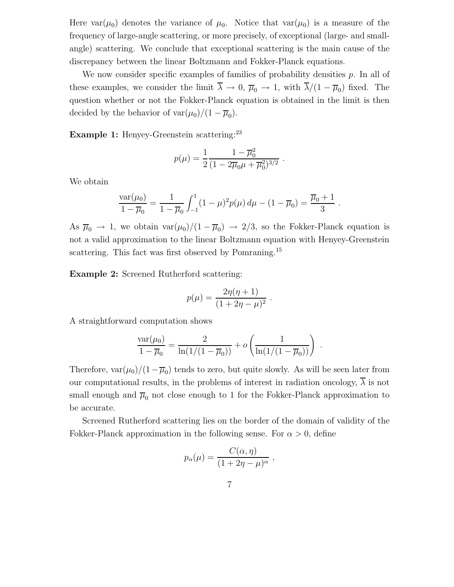Here  $var(\mu_0)$  denotes the variance of  $\mu_0$ . Notice that  $var(\mu_0)$  is a measure of the frequency of large-angle scattering, or more precisely, of exceptional (large- and smallangle) scattering. We conclude that exceptional scattering is the main cause of the discrepancy between the linear Boltzmann and Fokker-Planck equations.

We now consider specific examples of families of probability densities  $p$ . In all of these examples, we consider the limit  $\lambda \to 0$ ,  $\overline{\mu}_0 \to 1$ , with  $\lambda/(1-\overline{\mu}_0)$  fixed. The question whether or not the Fokker-Planck equation is obtained in the limit is then decided by the behavior of  $var(\mu_0)/(1-\overline{\mu}_0)$ .

**Example 1:** Henyey-Greenstein scattering:  $23$ 

$$
p(\mu) = \frac{1}{2} \frac{1 - \overline{\mu}_0^2}{(1 - 2\overline{\mu}_0 \mu + \overline{\mu}_0^2)^{3/2}}
$$

.

We obtain

$$
\frac{\text{var}(\mu_0)}{1-\overline{\mu}_0} = \frac{1}{1-\overline{\mu}_0} \int_{-1}^1 (1-\mu)^2 p(\mu) d\mu - (1-\overline{\mu}_0) = \frac{\overline{\mu}_0 + 1}{3}.
$$

As  $\overline{\mu}_0 \to 1$ , we obtain  $var(\mu_0)/(1 - \overline{\mu}_0) \to 2/3$ , so the Fokker-Planck equation is not a valid approximation to the linear Boltzmann equation with Henyey-Greenstein scattering. This fact was first observed by Pomraning.<sup>15</sup>

Example 2: Screened Rutherford scattering:

$$
p(\mu) = \frac{2\eta(\eta+1)}{(1+2\eta-\mu)^2} \; .
$$

A straightforward computation shows

$$
\frac{\text{var}(\mu_0)}{1 - \overline{\mu}_0} = \frac{2}{\ln(1/(1 - \overline{\mu}_0))} + o\left(\frac{1}{\ln(1/(1 - \overline{\mu}_0))}\right) .
$$

Therefore,  $var(\mu_0)/(1-\overline{\mu}_0)$  tends to zero, but quite slowly. As will be seen later from our computational results, in the problems of interest in radiation oncology,  $\overline{\lambda}$  is not small enough and  $\overline{\mu}_0$  not close enough to 1 for the Fokker-Planck approximation to be accurate.

Screened Rutherford scattering lies on the border of the domain of validity of the Fokker-Planck approximation in the following sense. For  $\alpha > 0$ , define

$$
p_{\alpha}(\mu) = \frac{C(\alpha, \eta)}{(1 + 2\eta - \mu)^{\alpha}}
$$

,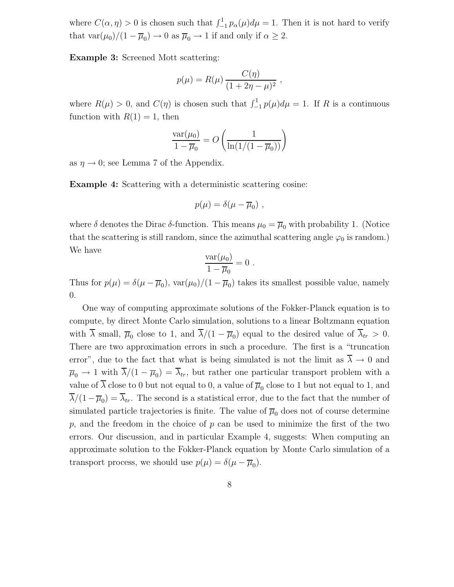where  $C(\alpha, \eta) > 0$  is chosen such that  $\int_{-1}^{1} p_{\alpha}(\mu) d\mu = 1$ . Then it is not hard to verify that  $\text{var}(\mu_0)/(1 - \overline{\mu}_0) \to 0$  as  $\overline{\mu}_0 \to 1$  if and only if  $\alpha \geq 2$ .

Example 3: Screened Mott scattering:

$$
p(\mu) = R(\mu) \frac{C(\eta)}{(1 + 2\eta - \mu)^2} ,
$$

where  $R(\mu) > 0$ , and  $C(\eta)$  is chosen such that  $\int_{-1}^{1} p(\mu) d\mu = 1$ . If R is a continuous function with  $R(1) = 1$ , then

$$
\frac{\text{var}(\mu_0)}{1 - \overline{\mu}_0} = O\left(\frac{1}{\ln(1/(1 - \overline{\mu}_0))}\right)
$$

as  $\eta \rightarrow 0$ ; see Lemma 7 of the Appendix.

Example 4: Scattering with a deterministic scattering cosine:

$$
p(\mu) = \delta(\mu - \overline{\mu}_0) ,
$$

where  $\delta$  denotes the Dirac  $\delta$ -function. This means  $\mu_0 = \overline{\mu}_0$  with probability 1. (Notice that the scattering is still random, since the azimuthal scattering angle  $\varphi_0$  is random.) We have

$$
\frac{\text{var}(\mu_0)}{1-\overline{\mu}_0}=0.
$$

Thus for  $p(\mu) = \delta(\mu - \overline{\mu}_0)$ ,  $var(\mu_0)/(1 - \overline{\mu}_0)$  takes its smallest possible value, namely 0.

One way of computing approximate solutions of the Fokker-Planck equation is to compute, by direct Monte Carlo simulation, solutions to a linear Boltzmann equation with  $\lambda$  small,  $\overline{\mu}_0$  close to 1, and  $\lambda/(1-\overline{\mu}_0)$  equal to the desired value of  $\lambda_{tr} > 0$ . There are two approximation errors in such a procedure. The first is a "truncation error", due to the fact that what is being simulated is not the limit as  $\overline{\lambda} \to 0$  and  $\overline{\mu}_0 \to 1$  with  $\lambda/(1 - \overline{\mu}_0) = \lambda_{tr}$ , but rather one particular transport problem with a value of  $\lambda$  close to 0 but not equal to 0, a value of  $\overline{\mu}_0$  close to 1 but not equal to 1, and  $\lambda/(1-\overline{\mu}_0) = \lambda_{tr}$ . The second is a statistical error, due to the fact that the number of simulated particle trajectories is finite. The value of  $\overline{\mu}_0$  does not of course determine  $p$ , and the freedom in the choice of  $p$  can be used to minimize the first of the two errors. Our discussion, and in particular Example 4, suggests: When computing an approximate solution to the Fokker-Planck equation by Monte Carlo simulation of a transport process, we should use  $p(\mu) = \delta(\mu - \overline{\mu}_0)$ .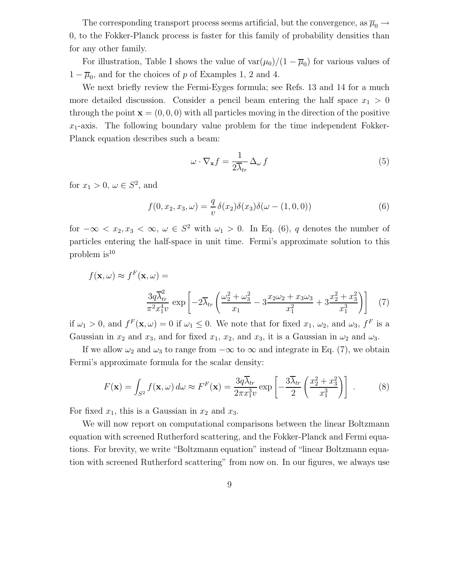The corresponding transport process seems artificial, but the convergence, as  $\overline{\mu}_0 \rightarrow$ 0, to the Fokker-Planck process is faster for this family of probability densities than for any other family.

For illustration, Table I shows the value of  $\text{var}(\mu_0)/(1-\overline{\mu}_0)$  for various values of  $1 - \overline{\mu}_0$ , and for the choices of p of Examples 1, 2 and 4.

We next briefly review the Fermi-Eyges formula; see Refs. 13 and 14 for a much more detailed discussion. Consider a pencil beam entering the half space  $x_1 > 0$ through the point  $\mathbf{x} = (0, 0, 0)$  with all particles moving in the direction of the positive  $x_1$ -axis. The following boundary value problem for the time independent Fokker-Planck equation describes such a beam:

$$
\omega \cdot \nabla_{\mathbf{x}} f = \frac{1}{2\overline{\lambda}_{tr}} \Delta_{\omega} f \tag{5}
$$

for  $x_1 > 0$ ,  $\omega \in S^2$ , and

$$
f(0, x_2, x_3, \omega) = -\frac{q}{v} \delta(x_2) \delta(x_3) \delta(\omega - (1, 0, 0))
$$
 (6)

for  $-\infty < x_2, x_3 < \infty, \omega \in S^2$  with  $\omega_1 > 0$ . In Eq. (6), q denotes the number of particles entering the half-space in unit time. Fermi's approximate solution to this problem  $is^{10}$ 

$$
f(\mathbf{x}, \omega) \approx f^F(\mathbf{x}, \omega) =
$$

$$
\frac{3q\overline{\lambda}_{tr}^2}{\pi^2 x_1^4 v} \exp\left[-2\overline{\lambda}_{tr}\left(\frac{\omega_2^2 + \omega_3^2}{x_1} - 3\frac{x_2\omega_2 + x_3\omega_3}{x_1^2} + 3\frac{x_2^2 + x_3^2}{x_1^3}\right)\right]
$$
(7)

if  $\omega_1 > 0$ , and  $f^F(\mathbf{x}, \omega) = 0$  if  $\omega_1 \leq 0$ . We note that for fixed  $x_1, \omega_2$ , and  $\omega_3$ ,  $f^F$  is a Gaussian in  $x_2$  and  $x_3$ , and for fixed  $x_1, x_2$ , and  $x_3$ , it is a Gaussian in  $\omega_2$  and  $\omega_3$ .

If we allow  $\omega_2$  and  $\omega_3$  to range from  $-\infty$  to  $\infty$  and integrate in Eq. (7), we obtain Fermi's approximate formula for the scalar density:

$$
F(\mathbf{x}) = \int_{S^2} f(\mathbf{x}, \omega) d\omega \approx F^F(\mathbf{x}) = \frac{3q\overline{\lambda}_{tr}}{2\pi x_1^3 v} \exp\left[-\frac{3\overline{\lambda}_{tr}}{2}\left(\frac{x_2^2 + x_3^2}{x_1^3}\right)\right].
$$
 (8)

For fixed  $x_1$ , this is a Gaussian in  $x_2$  and  $x_3$ .

We will now report on computational comparisons between the linear Boltzmann equation with screened Rutherford scattering, and the Fokker-Planck and Fermi equations. For brevity, we write "Boltzmann equation" instead of "linear Boltzmann equation with screened Rutherford scattering" from now on. In our figures, we always use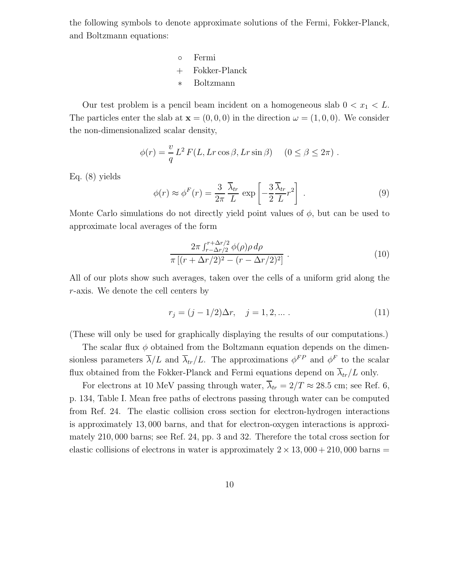the following symbols to denote approximate solutions of the Fermi, Fokker-Planck, and Boltzmann equations:

> ◦ Fermi + Fokker-Planck ∗ Boltzmann

Our test problem is a pencil beam incident on a homogeneous slab  $0 < x_1 < L$ . The particles enter the slab at  $\mathbf{x} = (0, 0, 0)$  in the direction  $\omega = (1, 0, 0)$ . We consider the non-dimensionalized scalar density,

$$
\phi(r) = \frac{v}{q} L^2 F(L, Lr \cos \beta, Lr \sin \beta) \quad (0 \le \beta \le 2\pi) .
$$

Eq. (8) yields

$$
\phi(r) \approx \phi^F(r) = \frac{3}{2\pi} \frac{\overline{\lambda}_{tr}}{L} \exp\left[-\frac{3}{2} \frac{\overline{\lambda}_{tr}}{L} r^2\right] \,. \tag{9}
$$

Monte Carlo simulations do not directly yield point values of  $\phi$ , but can be used to approximate local averages of the form

$$
\frac{2\pi \int_{r-\Delta r/2}^{r+\Delta r/2} \phi(\rho)\rho \,d\rho}{\pi \left[ (r+\Delta r/2)^2 - (r-\Delta r/2)^2 \right]} \,. \tag{10}
$$

All of our plots show such averages, taken over the cells of a uniform grid along the r-axis. We denote the cell centers by

$$
r_j = (j - 1/2)\Delta r, \quad j = 1, 2, \dots \,. \tag{11}
$$

(These will only be used for graphically displaying the results of our computations.)

The scalar flux  $\phi$  obtained from the Boltzmann equation depends on the dimensionless parameters  $\overline{\lambda}/L$  and  $\overline{\lambda}_{tr}/L$ . The approximations  $\phi^{FP}$  and  $\phi^F$  to the scalar flux obtained from the Fokker-Planck and Fermi equations depend on  $\overline{\lambda}_{tr}/L$  only.

For electrons at 10 MeV passing through water,  $\overline{\lambda}_{tr} = 2/T \approx 28.5$  cm; see Ref. 6, p. 134, Table I. Mean free paths of electrons passing through water can be computed from Ref. 24. The elastic collision cross section for electron-hydrogen interactions is approximately 13, 000 barns, and that for electron-oxygen interactions is approximately 210, 000 barns; see Ref. 24, pp. 3 and 32. Therefore the total cross section for elastic collisions of electrons in water is approximately  $2 \times 13,000 + 210,000$  barns  $=$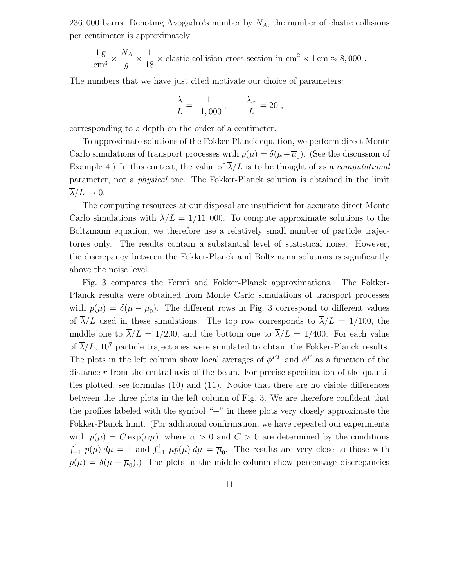236, 000 barns. Denoting Avogadro's number by  $N_A$ , the number of elastic collisions per centimeter is approximately

$$
\frac{1 \text{ g}}{\text{cm}^3} \times \frac{N_A}{g} \times \frac{1}{18} \times \text{elastic collision cross section in cm}^2 \times 1 \text{ cm} \approx 8,000 \text{ .}
$$

The numbers that we have just cited motivate our choice of parameters:

$$
\frac{\overline{\lambda}}{L} = \frac{1}{11,000}, \qquad \frac{\overline{\lambda}_{tr}}{L} = 20,
$$

corresponding to a depth on the order of a centimeter.

To approximate solutions of the Fokker-Planck equation, we perform direct Monte Carlo simulations of transport processes with  $p(\mu) = \delta(\mu - \overline{\mu}_0)$ . (See the discussion of Example 4.) In this context, the value of  $\overline{\lambda}/L$  is to be thought of as a *computational* parameter, not a physical one. The Fokker-Planck solution is obtained in the limit  $\lambda/L \rightarrow 0.$ 

The computing resources at our disposal are insufficient for accurate direct Monte Carlo simulations with  $\overline{\lambda}/L = 1/11,000$ . To compute approximate solutions to the Boltzmann equation, we therefore use a relatively small number of particle trajectories only. The results contain a substantial level of statistical noise. However, the discrepancy between the Fokker-Planck and Boltzmann solutions is significantly above the noise level.

Fig. 3 compares the Fermi and Fokker-Planck approximations. The Fokker-Planck results were obtained from Monte Carlo simulations of transport processes with  $p(\mu) = \delta(\mu - \overline{\mu}_0)$ . The different rows in Fig. 3 correspond to different values of  $\overline{\lambda}/L$  used in these simulations. The top row corresponds to  $\overline{\lambda}/L = 1/100$ , the middle one to  $\overline{\lambda}/L = 1/200$ , and the bottom one to  $\overline{\lambda}/L = 1/400$ . For each value of  $\overline{\lambda}/L$ , 10<sup>7</sup> particle trajectories were simulated to obtain the Fokker-Planck results. The plots in the left column show local averages of  $\phi^{FP}$  and  $\phi^F$  as a function of the distance r from the central axis of the beam. For precise specification of the quantities plotted, see formulas (10) and (11). Notice that there are no visible differences between the three plots in the left column of Fig. 3. We are therefore confident that the profiles labeled with the symbol "+" in these plots very closely approximate the Fokker-Planck limit. (For additional confirmation, we have repeated our experiments with  $p(\mu) = C \exp(\alpha \mu)$ , where  $\alpha > 0$  and  $C > 0$  are determined by the conditions  $\int_{-1}^{1} p(\mu) d\mu = 1$  and  $\int_{-1}^{1} \mu p(\mu) d\mu = \overline{\mu}_0$ . The results are very close to those with  $p(\mu) = \delta(\mu - \overline{\mu}_0)$ .) The plots in the middle column show percentage discrepancies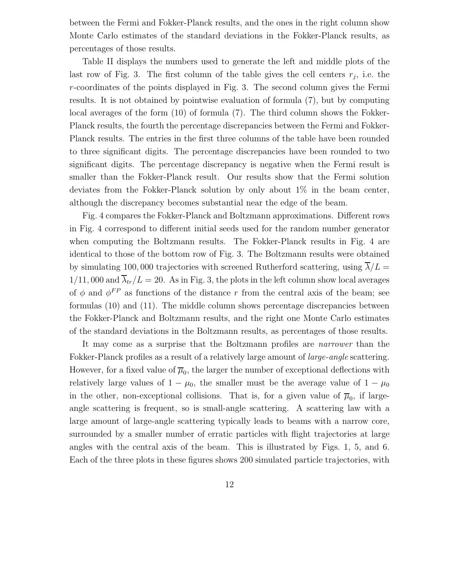between the Fermi and Fokker-Planck results, and the ones in the right column show Monte Carlo estimates of the standard deviations in the Fokker-Planck results, as percentages of those results.

Table II displays the numbers used to generate the left and middle plots of the last row of Fig. 3. The first column of the table gives the cell centers  $r_j$ , i.e. the r-coordinates of the points displayed in Fig. 3. The second column gives the Fermi results. It is not obtained by pointwise evaluation of formula (7), but by computing local averages of the form (10) of formula (7). The third column shows the Fokker-Planck results, the fourth the percentage discrepancies between the Fermi and Fokker-Planck results. The entries in the first three columns of the table have been rounded to three significant digits. The percentage discrepancies have been rounded to two significant digits. The percentage discrepancy is negative when the Fermi result is smaller than the Fokker-Planck result. Our results show that the Fermi solution deviates from the Fokker-Planck solution by only about 1% in the beam center, although the discrepancy becomes substantial near the edge of the beam.

Fig. 4 compares the Fokker-Planck and Boltzmann approximations. Different rows in Fig. 4 correspond to different initial seeds used for the random number generator when computing the Boltzmann results. The Fokker-Planck results in Fig. 4 are identical to those of the bottom row of Fig. 3. The Boltzmann results were obtained by simulating 100,000 trajectories with screened Rutherford scattering, using  $\lambda/L =$  $1/11,000$  and  $\overline{\lambda}_{tr}/L = 20$ . As in Fig. 3, the plots in the left column show local averages of  $\phi$  and  $\phi^{FP}$  as functions of the distance r from the central axis of the beam; see formulas (10) and (11). The middle column shows percentage discrepancies between the Fokker-Planck and Boltzmann results, and the right one Monte Carlo estimates of the standard deviations in the Boltzmann results, as percentages of those results.

It may come as a surprise that the Boltzmann profiles are narrower than the Fokker-Planck profiles as a result of a relatively large amount of *large-angle* scattering. However, for a fixed value of  $\overline{\mu}_0$ , the larger the number of exceptional deflections with relatively large values of  $1 - \mu_0$ , the smaller must be the average value of  $1 - \mu_0$ in the other, non-exceptional collisions. That is, for a given value of  $\overline{\mu}_0$ , if largeangle scattering is frequent, so is small-angle scattering. A scattering law with a large amount of large-angle scattering typically leads to beams with a narrow core, surrounded by a smaller number of erratic particles with flight trajectories at large angles with the central axis of the beam. This is illustrated by Figs. 1, 5, and 6. Each of the three plots in these figures shows 200 simulated particle trajectories, with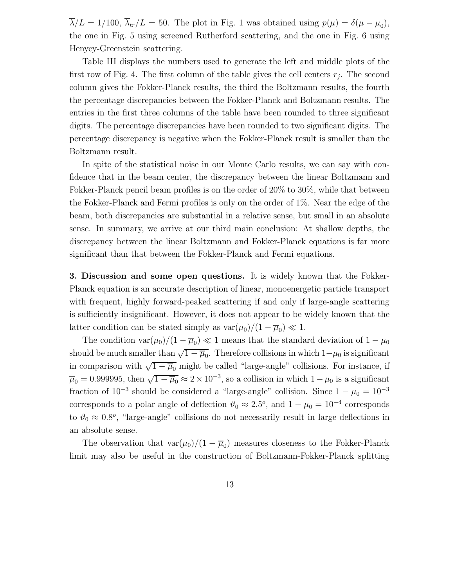$\lambda/L = 1/100$ ,  $\lambda_{tr}/L = 50$ . The plot in Fig. 1 was obtained using  $p(\mu) = \delta(\mu - \overline{\mu}_0)$ , the one in Fig. 5 using screened Rutherford scattering, and the one in Fig. 6 using Henyey-Greenstein scattering.

Table III displays the numbers used to generate the left and middle plots of the first row of Fig. 4. The first column of the table gives the cell centers  $r_j$ . The second column gives the Fokker-Planck results, the third the Boltzmann results, the fourth the percentage discrepancies between the Fokker-Planck and Boltzmann results. The entries in the first three columns of the table have been rounded to three significant digits. The percentage discrepancies have been rounded to two significant digits. The percentage discrepancy is negative when the Fokker-Planck result is smaller than the Boltzmann result.

In spite of the statistical noise in our Monte Carlo results, we can say with confidence that in the beam center, the discrepancy between the linear Boltzmann and Fokker-Planck pencil beam profiles is on the order of 20% to 30%, while that between the Fokker-Planck and Fermi profiles is only on the order of 1%. Near the edge of the beam, both discrepancies are substantial in a relative sense, but small in an absolute sense. In summary, we arrive at our third main conclusion: At shallow depths, the discrepancy between the linear Boltzmann and Fokker-Planck equations is far more significant than that between the Fokker-Planck and Fermi equations.

3. Discussion and some open questions. It is widely known that the Fokker-Planck equation is an accurate description of linear, monoenergetic particle transport with frequent, highly forward-peaked scattering if and only if large-angle scattering is sufficiently insignificant. However, it does not appear to be widely known that the latter condition can be stated simply as  $var(\mu_0)/(1 - \overline{\mu}_0) \ll 1$ .

The condition  $var(\mu_0)/(1 - \overline{\mu}_0) \ll 1$  means that the standard deviation of  $1 - \mu_0$ should be much smaller than  $\sqrt{1-\overline{\mu}_0}$ . Therefore collisions in which  $1-\mu_0$  is significant in comparison with  $\sqrt{1-\overline{\mu}_0}$  might be called "large-angle" collisions. For instance, if  $\overline{\mu}_0 = 0.999995$ , then  $\sqrt{1 - \overline{\mu}_0} \approx 2 \times 10^{-3}$ , so a collision in which  $1 - \mu_0$  is a significant fraction of  $10^{-3}$  should be considered a "large-angle" collision. Since  $1 - \mu_0 = 10^{-3}$ corresponds to a polar angle of deflection  $\vartheta_0 \approx 2.5^o$ , and  $1 - \mu_0 = 10^{-4}$  corresponds to  $\vartheta_0 \approx 0.8^{\circ}$ , "large-angle" collisions do not necessarily result in large deflections in an absolute sense.

The observation that  $var(\mu_0)/(1 - \overline{\mu}_0)$  measures closeness to the Fokker-Planck limit may also be useful in the construction of Boltzmann-Fokker-Planck splitting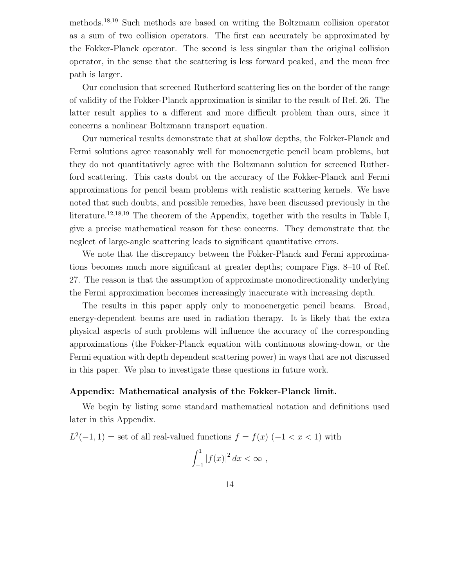methods.<sup>18</sup>,<sup>19</sup> Such methods are based on writing the Boltzmann collision operator as a sum of two collision operators. The first can accurately be approximated by the Fokker-Planck operator. The second is less singular than the original collision operator, in the sense that the scattering is less forward peaked, and the mean free path is larger.

Our conclusion that screened Rutherford scattering lies on the border of the range of validity of the Fokker-Planck approximation is similar to the result of Ref. 26. The latter result applies to a different and more difficult problem than ours, since it concerns a nonlinear Boltzmann transport equation.

Our numerical results demonstrate that at shallow depths, the Fokker-Planck and Fermi solutions agree reasonably well for monoenergetic pencil beam problems, but they do not quantitatively agree with the Boltzmann solution for screened Rutherford scattering. This casts doubt on the accuracy of the Fokker-Planck and Fermi approximations for pencil beam problems with realistic scattering kernels. We have noted that such doubts, and possible remedies, have been discussed previously in the literature.<sup>12,18,19</sup> The theorem of the Appendix, together with the results in Table I, give a precise mathematical reason for these concerns. They demonstrate that the neglect of large-angle scattering leads to significant quantitative errors.

We note that the discrepancy between the Fokker-Planck and Fermi approximations becomes much more significant at greater depths; compare Figs. 8–10 of Ref. 27. The reason is that the assumption of approximate monodirectionality underlying the Fermi approximation becomes increasingly inaccurate with increasing depth.

The results in this paper apply only to monoenergetic pencil beams. Broad, energy-dependent beams are used in radiation therapy. It is likely that the extra physical aspects of such problems will influence the accuracy of the corresponding approximations (the Fokker-Planck equation with continuous slowing-down, or the Fermi equation with depth dependent scattering power) in ways that are not discussed in this paper. We plan to investigate these questions in future work.

## Appendix: Mathematical analysis of the Fokker-Planck limit.

We begin by listing some standard mathematical notation and definitions used later in this Appendix.

 $L^2(-1, 1)$  = set of all real-valued functions  $f = f(x) (-1 < x < 1)$  with

$$
\int_{-1}^{1} |f(x)|^2 dx < \infty ,
$$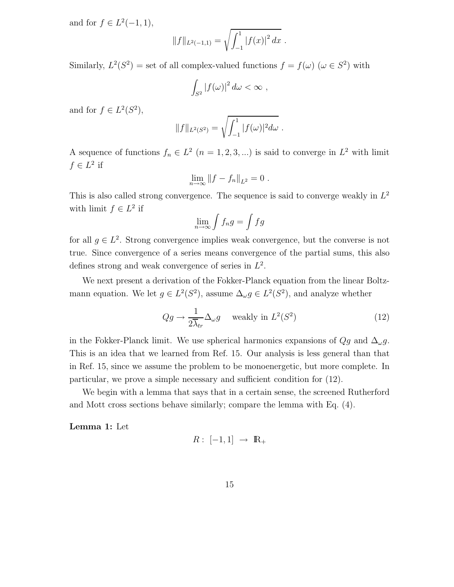and for  $f \in L^2(-1,1)$ ,

$$
||f||_{L^2(-1,1)} = \sqrt{\int_{-1}^1 |f(x)|^2 dx}.
$$

Similarly,  $L^2(S^2) =$  set of all complex-valued functions  $f = f(\omega)$  ( $\omega \in S^2$ ) with

$$
\int_{S^2} |f(\omega)|^2 \, d\omega < \infty \;,
$$

and for  $f \in L^2(S^2)$ ,

$$
||f||_{L^2(S^2)} = \sqrt{\int_{-1}^1 |f(\omega)|^2 d\omega}.
$$

A sequence of functions  $f_n \in L^2$   $(n = 1, 2, 3, ...)$  is said to converge in  $L^2$  with limit  $f \in L^2$  if

$$
\lim_{n \to \infty} \|f - f_n\|_{L^2} = 0.
$$

This is also called strong convergence. The sequence is said to converge weakly in  $L^2$ with limit  $f \in L^2$  if

$$
\lim_{n \to \infty} \int f_n g = \int f g
$$

for all  $g \in L^2$ . Strong convergence implies weak convergence, but the converse is not true. Since convergence of a series means convergence of the partial sums, this also defines strong and weak convergence of series in  $L^2$ .

We next present a derivation of the Fokker-Planck equation from the linear Boltzmann equation. We let  $g \in L^2(S^2)$ , assume  $\Delta_{\omega} g \in L^2(S^2)$ , and analyze whether

$$
Qg \to \frac{1}{2\overline{\lambda}_{tr}} \Delta_{\omega} g \quad \text{ weakly in } L^2(S^2)
$$
 (12)

in the Fokker-Planck limit. We use spherical harmonics expansions of  $Qg$  and  $\Delta_{\omega}g$ . This is an idea that we learned from Ref. 15. Our analysis is less general than that in Ref. 15, since we assume the problem to be monoenergetic, but more complete. In particular, we prove a simple necessary and sufficient condition for (12).

We begin with a lemma that says that in a certain sense, the screened Rutherford and Mott cross sections behave similarly; compare the lemma with Eq. (4).

Lemma 1: Let

$$
R: [-1,1] \rightarrow \mathbb{R}_+
$$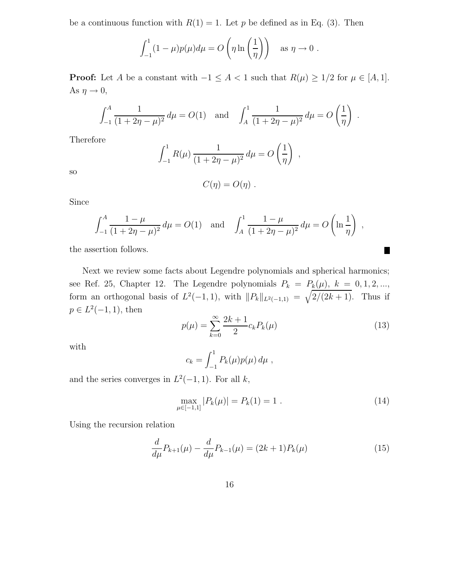be a continuous function with  $R(1) = 1$ . Let p be defined as in Eq. (3). Then

$$
\int_{-1}^{1} (1 - \mu)p(\mu)d\mu = O\left(\eta \ln\left(\frac{1}{\eta}\right)\right) \text{ as } \eta \to 0.
$$

**Proof:** Let A be a constant with  $-1 \leq A < 1$  such that  $R(\mu) \geq 1/2$  for  $\mu \in [A, 1]$ . As  $\eta \to 0$ ,

$$
\int_{-1}^{A} \frac{1}{(1+2\eta-\mu)^2} d\mu = O(1) \text{ and } \int_{A}^{1} \frac{1}{(1+2\eta-\mu)^2} d\mu = O\left(\frac{1}{\eta}\right).
$$

Therefore

$$
\int_{-1}^{1} R(\mu) \frac{1}{(1+2\eta-\mu)^2} d\mu = O\left(\frac{1}{\eta}\right) ,
$$

so

$$
C(\eta)=O(\eta)\ .
$$

Since

$$
\int_{-1}^{A} \frac{1 - \mu}{(1 + 2\eta - \mu)^2} d\mu = O(1) \text{ and } \int_{A}^{1} \frac{1 - \mu}{(1 + 2\eta - \mu)^2} d\mu = O\left(\ln \frac{1}{\eta}\right) ,
$$

the assertion follows.

Next we review some facts about Legendre polynomials and spherical harmonics; see Ref. 25, Chapter 12. The Legendre polynomials  $P_k = P_k(\mu)$ ,  $k = 0, 1, 2, ...,$ form an orthogonal basis of  $L^2(-1,1)$ , with  $||P_k||_{L^2(-1,1)} = \sqrt{\frac{2}{2k+1}}$ . Thus if  $p \in L^2(-1,1)$ , then

$$
p(\mu) = \sum_{k=0}^{\infty} \frac{2k+1}{2} c_k P_k(\mu)
$$
\n(13)

Ш

with

$$
c_k = \int_{-1}^1 P_k(\mu) p(\mu) \, d\mu \;,
$$

and the series converges in  $L^2(-1,1)$ . For all k,

$$
\max_{\mu \in [-1,1]} |P_k(\mu)| = P_k(1) = 1.
$$
\n(14)

Using the recursion relation

$$
\frac{d}{d\mu}P_{k+1}(\mu) - \frac{d}{d\mu}P_{k-1}(\mu) = (2k+1)P_k(\mu)
$$
\n(15)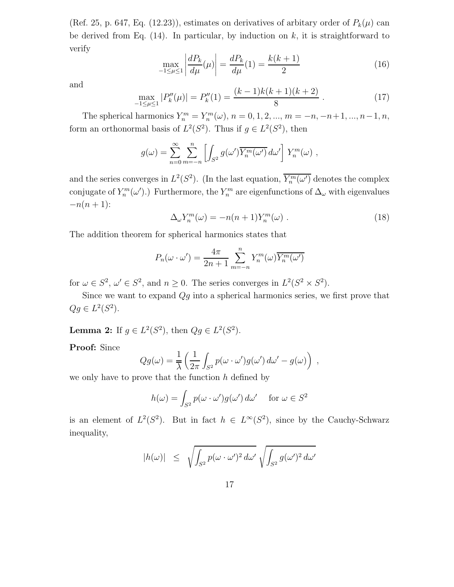(Ref. 25, p. 647, Eq. (12.23)), estimates on derivatives of arbitary order of  $P_k(\mu)$  can be derived from Eq.  $(14)$ . In particular, by induction on k, it is straightforward to verify

$$
\max_{-1 \le \mu \le 1} \left| \frac{dP_k}{d\mu}(\mu) \right| = \frac{dP_k}{d\mu}(1) = \frac{k(k+1)}{2} \tag{16}
$$

and

$$
\max_{-1 \le \mu \le 1} |P_k''(\mu)| = P_k''(1) = \frac{(k-1)k(k+1)(k+2)}{8} \,. \tag{17}
$$

The spherical harmonics  $Y_n^m = Y_n^m(\omega)$ ,  $n = 0, 1, 2, ..., m = -n, -n+1, ..., n-1, n$ , form an orthonormal basis of  $L^2(S^2)$ . Thus if  $g \in L^2(S^2)$ , then

$$
g(\omega) = \sum_{n=0}^{\infty} \sum_{m=-n}^{n} \left[ \int_{S^2} g(\omega') \overline{Y_n^m(\omega')} d\omega' \right] Y_n^m(\omega) ,
$$

and the series converges in  $L^2(S^2)$ . (In the last equation,  $\overline{Y_n^m(\omega')}$  denotes the complex conjugate of  $Y_n^m(\omega')$ .) Furthermore, the  $Y_n^m$  are eigenfunctions of  $\Delta_{\omega}$  with eigenvalues  $-n(n + 1)$ :

$$
\Delta_{\omega} Y_n^m(\omega) = -n(n+1) Y_n^m(\omega) . \qquad (18)
$$

The addition theorem for spherical harmonics states that

$$
P_n(\omega \cdot \omega') = \frac{4\pi}{2n+1} \sum_{m=-n}^n Y_n^m(\omega) \overline{Y_n^m(\omega')}
$$

for  $\omega \in S^2$ ,  $\omega' \in S^2$ , and  $n \ge 0$ . The series converges in  $L^2(S^2 \times S^2)$ .

Since we want to expand  $Qg$  into a spherical harmonics series, we first prove that  $Qg \in L^2(S^2)$ .

**Lemma 2:** If  $g \in L^2(S^2)$ , then  $Qg \in L^2(S^2)$ .

Proof: Since

$$
Qg(\omega) = \frac{1}{\lambda} \left( \frac{1}{2\pi} \int_{S^2} p(\omega \cdot \omega') g(\omega') d\omega' - g(\omega) \right) ,
$$

we only have to prove that the function  $h$  defined by

$$
h(\omega) = \int_{S^2} p(\omega \cdot \omega') g(\omega') d\omega' \quad \text{for } \omega \in S^2
$$

is an element of  $L^2(S^2)$ . But in fact  $h \in L^{\infty}(S^2)$ , since by the Cauchy-Schwarz inequality,

$$
|h(\omega)| \leq \sqrt{\int_{S^2} p(\omega \cdot \omega')^2 d\omega'} \sqrt{\int_{S^2} g(\omega')^2 d\omega'}
$$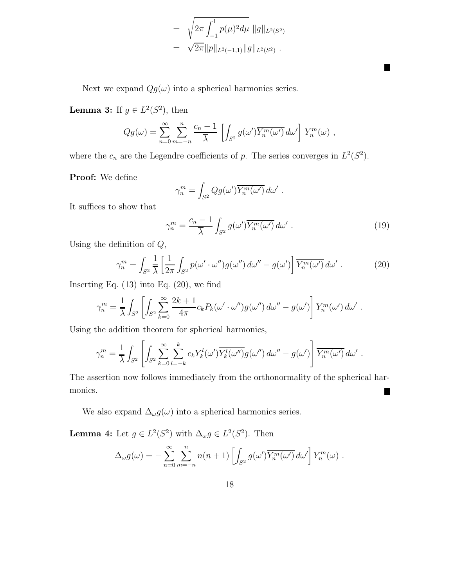$$
= \sqrt{2\pi \int_{-1}^{1} p(\mu)^2 d\mu} \|g\|_{L^2(S^2)}
$$
  

$$
= \sqrt{2\pi} \|p\|_{L^2(-1,1)} \|g\|_{L^2(S^2)}.
$$

Next we expand  $Qg(\omega)$  into a spherical harmonics series.

**Lemma 3:** If  $g \in L^2(S^2)$ , then

$$
Qg(\omega) = \sum_{n=0}^{\infty} \sum_{m=-n}^{n} \frac{c_n - 1}{\overline{\lambda}} \left[ \int_{S^2} g(\omega') \overline{Y_n^m(\omega')} d\omega' \right] Y_n^m(\omega) ,
$$

where the  $c_n$  are the Legendre coefficients of p. The series converges in  $L^2(S^2)$ .

Proof: We define

$$
\gamma_n^m = \int_{S^2} Qg(\omega') \overline{Y_n^m(\omega')} d\omega' .
$$

It suffices to show that

$$
\gamma_n^m = \frac{c_n - 1}{\overline{\lambda}} \int_{S^2} g(\omega') \overline{Y_n^m(\omega')} d\omega' . \qquad (19)
$$

П

Using the definition of  $Q$ ,

$$
\gamma_n^m = \int_{S^2} \frac{1}{\overline{\lambda}} \left[ \frac{1}{2\pi} \int_{S^2} p(\omega' \cdot \omega'') g(\omega'') d\omega'' - g(\omega') \right] \overline{Y_n^m(\omega')} d\omega' . \tag{20}
$$

Inserting Eq.  $(13)$  into Eq.  $(20)$ , we find

$$
\gamma_n^m = \frac{1}{\overline{\lambda}} \int_{S^2} \left[ \int_{S^2} \sum_{k=0}^{\infty} \frac{2k+1}{4\pi} c_k P_k(\omega' \cdot \omega'') g(\omega'') d\omega'' - g(\omega') \right] \overline{Y_n^m(\omega')} d\omega' .
$$

Using the addition theorem for spherical harmonics,

$$
\gamma_n^m = \frac{1}{\lambda} \int_{S^2} \left[ \int_{S^2} \sum_{k=0}^{\infty} \sum_{l=-k}^k c_k Y_k^l(\omega') \overline{Y_k^l(\omega'')} g(\omega'') d\omega'' - g(\omega') \right] \overline{Y_n^m(\omega')} d\omega' .
$$

The assertion now follows immediately from the orthonormality of the spherical harmonics. П

We also expand  $\Delta_\omega g(\omega)$  into a spherical harmonics series.

**Lemma 4:** Let  $g \in L^2(S^2)$  with  $\Delta_{\omega} g \in L^2(S^2)$ . Then

$$
\Delta_{\omega} g(\omega) = -\sum_{n=0}^{\infty} \sum_{m=-n}^{n} n(n+1) \left[ \int_{S^2} g(\omega') \overline{Y_n^m(\omega')} d\omega' \right] Y_n^m(\omega) .
$$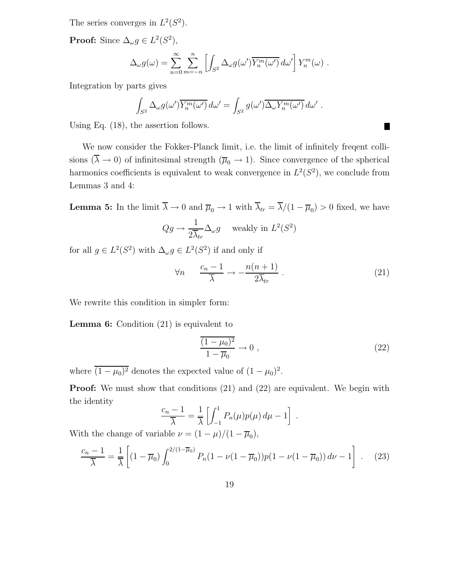The series converges in  $L^2(S^2)$ .

**Proof:** Since  $\Delta_{\omega} g \in L^2(S^2)$ ,

$$
\Delta_{\omega} g(\omega) = \sum_{n=0}^{\infty} \sum_{m=-n}^{n} \left[ \int_{S^2} \Delta_{\omega} g(\omega') \overline{Y_n^m(\omega')} d\omega' \right] Y_n^m(\omega) .
$$

Integration by parts gives

$$
\int_{S^2} \Delta_\omega g(\omega') \overline{Y_n^m(\omega')} d\omega' = \int_{S^2} g(\omega') \overline{\Delta_\omega Y_n^m(\omega')} d\omega' .
$$

Using Eq. (18), the assertion follows.

We now consider the Fokker-Planck limit, i.e. the limit of infinitely freqent collisions  $(\overline{\lambda} \to 0)$  of infinitesimal strength  $(\overline{\mu}_0 \to 1)$ . Since convergence of the spherical harmonics coefficients is equivalent to weak convergence in  $L^2(S^2)$ , we conclude from Lemmas 3 and 4:

**Lemma 5:** In the limit  $\lambda \to 0$  and  $\overline{\mu}_0 \to 1$  with  $\lambda_{tr} = \lambda/(1 - \overline{\mu}_0) > 0$  fixed, we have 1

$$
Qg \to \frac{1}{2\overline{\lambda}_{tr}} \Delta_{\omega} g
$$
 weakly in  $L^2(S^2)$ 

for all  $g \in L^2(S^2)$  with  $\Delta_{\omega} g \in L^2(S^2)$  if and only if

$$
\forall n \qquad \frac{c_n - 1}{\overline{\lambda}} \to -\frac{n(n+1)}{2\overline{\lambda}_{tr}} \ . \tag{21}
$$

Ш

We rewrite this condition in simpler form:

Lemma 6: Condition (21) is equivalent to

$$
\frac{(1 - \mu_0)^2}{1 - \overline{\mu}_0} \to 0 \tag{22}
$$

where  $\overline{(1-\mu_0)^2}$  denotes the expected value of  $(1-\mu_0)^2$ .

**Proof:** We must show that conditions (21) and (22) are equivalent. We begin with the identity

$$
\frac{c_n - 1}{\overline{\lambda}} = \frac{1}{\overline{\lambda}} \left[ \int_{-1}^1 P_n(\mu) p(\mu) d\mu - 1 \right].
$$

With the change of variable  $\nu = (1 - \mu)/(1 - \overline{\mu}_0)$ ,

$$
\frac{c_n - 1}{\overline{\lambda}} = \frac{1}{\overline{\lambda}} \left[ (1 - \overline{\mu}_0) \int_0^{2/(1 - \overline{\mu}_0)} P_n (1 - \nu (1 - \overline{\mu}_0)) p (1 - \nu (1 - \overline{\mu}_0)) \, d\nu - 1 \right] \ . \tag{23}
$$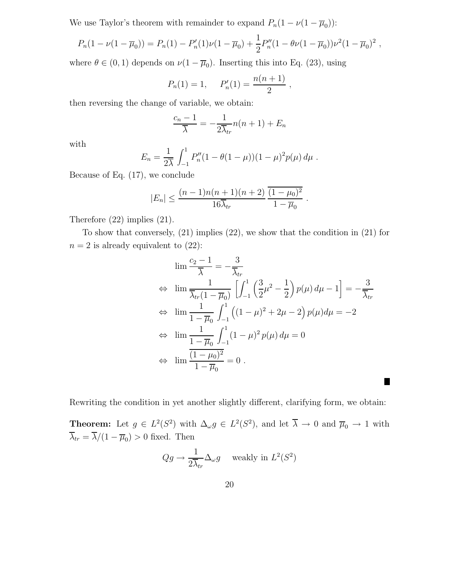We use Taylor's theorem with remainder to expand  $P_n(1 - \nu(1 - \overline{\mu}_0))$ :

$$
P_n(1 - \nu(1 - \overline{\mu}_0)) = P_n(1) - P'_n(1)\nu(1 - \overline{\mu}_0) + \frac{1}{2}P''_n(1 - \theta\nu(1 - \overline{\mu}_0))\nu^2(1 - \overline{\mu}_0)^2,
$$

where  $\theta \in (0,1)$  depends on  $\nu(1-\overline{\mu}_0)$ . Inserting this into Eq. (23), using

$$
P_n(1) = 1
$$
,  $P'_n(1) = \frac{n(n+1)}{2}$ ,

then reversing the change of variable, we obtain:

$$
\frac{c_n - 1}{\overline{\lambda}} = -\frac{1}{2\overline{\lambda}_{tr}} n(n+1) + E_n
$$

with

$$
E_n = \frac{1}{2\lambda} \int_{-1}^1 P_n''(1 - \theta(1 - \mu))(1 - \mu)^2 p(\mu) d\mu.
$$

Because of Eq. (17), we conclude

$$
|E_n| \le \frac{(n-1)n(n+1)(n+2)}{16\overline{\lambda}_{tr}} \frac{\overline{(1-\mu_0)^2}}{1-\overline{\mu}_0}
$$

Therefore (22) implies (21).

To show that conversely, (21) implies (22), we show that the condition in (21) for  $n = 2$  is already equivalent to  $(22)$ :

$$
\lim \frac{c_2 - 1}{\overline{\lambda}} = -\frac{3}{\overline{\lambda}_{tr}}
$$
  
\n
$$
\Leftrightarrow \lim \frac{1}{\overline{\lambda}_{tr}(1 - \overline{\mu}_0)} \left[ \int_{-1}^{1} \left( \frac{3}{2} \mu^2 - \frac{1}{2} \right) p(\mu) d\mu - 1 \right] = -\frac{3}{\overline{\lambda}_{tr}}
$$
  
\n
$$
\Leftrightarrow \lim \frac{1}{1 - \overline{\mu}_0} \int_{-1}^{1} \left( (1 - \mu)^2 + 2\mu - 2 \right) p(\mu) d\mu = -2
$$
  
\n
$$
\Leftrightarrow \lim \frac{1}{1 - \overline{\mu}_0} \int_{-1}^{1} (1 - \mu)^2 p(\mu) d\mu = 0
$$
  
\n
$$
\Leftrightarrow \lim \frac{(1 - \mu_0)^2}{1 - \overline{\mu}_0} = 0.
$$

.

ш

Rewriting the condition in yet another slightly different, clarifying form, we obtain:

**Theorem:** Let  $g \in L^2(S^2)$  with  $\Delta_{\omega} g \in L^2(S^2)$ , and let  $\overline{\lambda} \to 0$  and  $\overline{\mu}_0 \to 1$  with  $\lambda_{tr} = \lambda/(1 - \overline{\mu}_0) > 0$  fixed. Then

$$
Qg \to \frac{1}{2\overline{\lambda}_{tr}} \Delta_{\omega} g \quad \text{ weakly in } L^2(S^2)
$$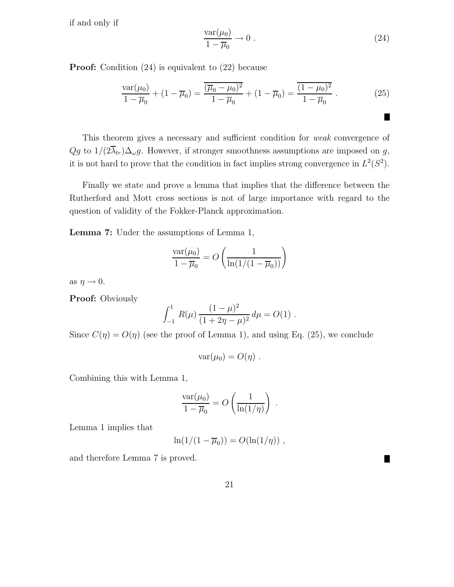if and only if

$$
\frac{\text{var}(\mu_0)}{1 - \overline{\mu}_0} \to 0 \tag{24}
$$

П

ш

**Proof:** Condition (24) is equivalent to (22) because

$$
\frac{\text{var}(\mu_0)}{1 - \overline{\mu}_0} + (1 - \overline{\mu}_0) = \frac{\overline{(\overline{\mu}_0 - \mu_0)^2}}{1 - \overline{\mu}_0} + (1 - \overline{\mu}_0) = \frac{\overline{(1 - \mu_0)^2}}{1 - \overline{\mu}_0} \tag{25}
$$

This theorem gives a necessary and sufficient condition for weak convergence of  $Qg$  to  $1/(2\overline{\lambda}_{tr})\Delta_{\omega}g$ . However, if stronger smoothness assumptions are imposed on g, it is not hard to prove that the condition in fact implies strong convergence in  $L^2(S^2)$ .

Finally we state and prove a lemma that implies that the difference between the Rutherford and Mott cross sections is not of large importance with regard to the question of validity of the Fokker-Planck approximation.

Lemma 7: Under the assumptions of Lemma 1,

$$
\frac{\text{var}(\mu_0)}{1 - \overline{\mu}_0} = O\left(\frac{1}{\ln(1/(1 - \overline{\mu}_0))}\right)
$$

as  $\eta \rightarrow 0$ .

Proof: Obviously

$$
\int_{-1}^{1} R(\mu) \frac{(1-\mu)^2}{(1+2\eta-\mu)^2} d\mu = O(1) .
$$

Since  $C(\eta) = O(\eta)$  (see the proof of Lemma 1), and using Eq. (25), we conclude

$$
var(\mu_0)=O(\eta).
$$

Combining this with Lemma 1,

$$
\frac{\text{var}(\mu_0)}{1-\overline{\mu}_0} = O\left(\frac{1}{\ln(1/\eta)}\right) .
$$

Lemma 1 implies that

$$
\ln(1/(1-\overline{\mu}_0)) = O(\ln(1/\eta)) ,
$$

and therefore Lemma 7 is proved.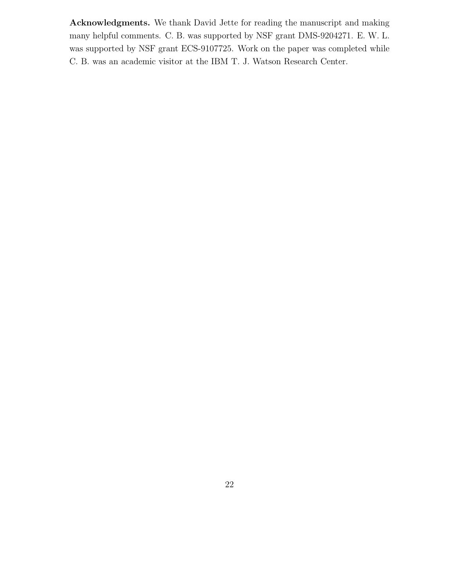Acknowledgments. We thank David Jette for reading the manuscript and making many helpful comments. C. B. was supported by NSF grant DMS-9204271. E. W. L. was supported by NSF grant ECS-9107725. Work on the paper was completed while C. B. was an academic visitor at the IBM T. J. Watson Research Center.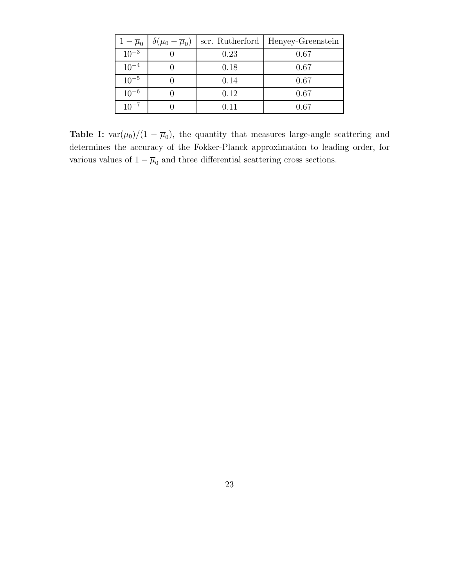| $1-\overline{\mu}_0$ | $\delta(\mu_0-\overline{\mu}_0)$ | scr. Rutherford | Henyey-Greenstein |
|----------------------|----------------------------------|-----------------|-------------------|
| $10^{-3}$            |                                  | 0.23            | 0.67              |
| $10^{-4}$            |                                  | 0.18            | 0.67              |
| $10^{-5}$            |                                  | 0.14            | 0.67              |
| $10^{-6}$            |                                  | 0.12            | 0.67              |
| $10^{-7}$            |                                  | 0.11            | 0.67              |

**Table I:**  $var(\mu_0)/(1 - \overline{\mu}_0)$ , the quantity that measures large-angle scattering and determines the accuracy of the Fokker-Planck approximation to leading order, for various values of  $1-\overline{\mu}_0$  and three differential scattering cross sections.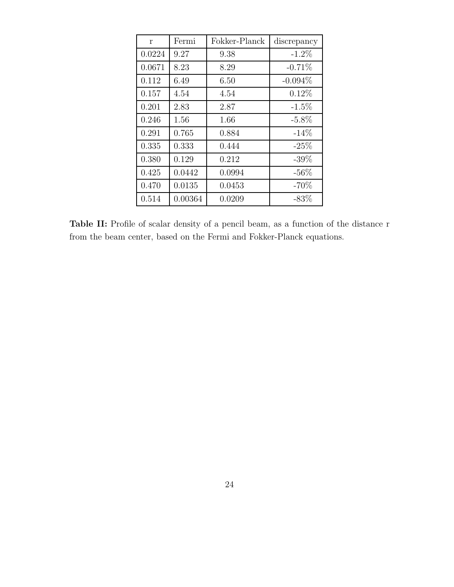| r      | Fermi   | Fokker-Planck | discrepancy |
|--------|---------|---------------|-------------|
| 0.0224 | 9.27    | 9.38          | $-1.2\%$    |
| 0.0671 | 8.23    | 8.29          | $-0.71%$    |
| 0.112  | 6.49    | 6.50          | $-0.094\%$  |
| 0.157  | 4.54    | 4.54          | $0.12\%$    |
| 0.201  | 2.83    | 2.87          | $-1.5\%$    |
| 0.246  | 1.56    | 1.66          | $-5.8\%$    |
| 0.291  | 0.765   | 0.884         | $-14%$      |
| 0.335  | 0.333   | 0.444         | $-25%$      |
| 0.380  | 0.129   | 0.212         | $-39\%$     |
| 0.425  | 0.0442  | 0.0994        | $-56\%$     |
| 0.470  | 0.0135  | 0.0453        | $-70%$      |
| 0.514  | 0.00364 | 0.0209        | $-83\%$     |

Table II: Profile of scalar density of a pencil beam, as a function of the distance r from the beam center, based on the Fermi and Fokker-Planck equations.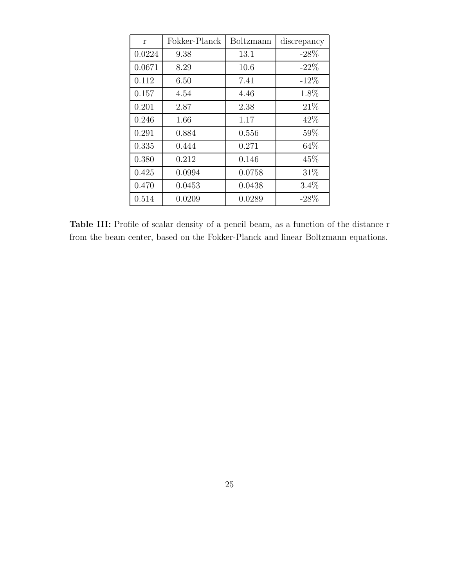| r      | Fokker-Planck | Boltzmann | discrepancy |
|--------|---------------|-----------|-------------|
| 0.0224 | 9.38          | 13.1      | $-28%$      |
| 0.0671 | 8.29          | 10.6      | $-22\%$     |
| 0.112  | 6.50          | 7.41      | $-12\%$     |
| 0.157  | 4.54          | 4.46      | 1.8%        |
| 0.201  | 2.87          | 2.38      | 21\%        |
| 0.246  | 1.66          | 1.17      | 42\%        |
| 0.291  | 0.884         | 0.556     | 59%         |
| 0.335  | 0.444         | 0.271     | 64\%        |
| 0.380  | 0.212         | 0.146     | 45\%        |
| 0.425  | 0.0994        | 0.0758    | 31\%        |
| 0.470  | 0.0453        | 0.0438    | $3.4\%$     |
| 0.514  | 0.0209        | 0.0289    | $-28\%$     |

Table III: Profile of scalar density of a pencil beam, as a function of the distance r from the beam center, based on the Fokker-Planck and linear Boltzmann equations.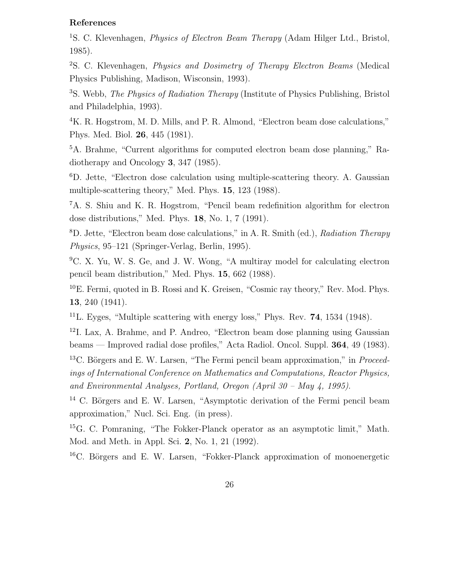## References

<sup>1</sup>S. C. Klevenhagen, *Physics of Electron Beam Therapy* (Adam Hilger Ltd., Bristol, 1985).

<sup>2</sup>S. C. Klevenhagen, Physics and Dosimetry of Therapy Electron Beams (Medical Physics Publishing, Madison, Wisconsin, 1993).

<sup>3</sup>S. Webb, *The Physics of Radiation Therapy* (Institute of Physics Publishing, Bristol and Philadelphia, 1993).

<sup>4</sup>K. R. Hogstrom, M. D. Mills, and P. R. Almond, "Electron beam dose calculations," Phys. Med. Biol. 26, 445 (1981).

<sup>5</sup>A. Brahme, "Current algorithms for computed electron beam dose planning," Radiotherapy and Oncology 3, 347 (1985).

<sup>6</sup>D. Jette, "Electron dose calculation using multiple-scattering theory. A. Gaussian multiple-scattering theory," Med. Phys. 15, 123 (1988).

<sup>7</sup>A. S. Shiu and K. R. Hogstrom, "Pencil beam redefinition algorithm for electron dose distributions," Med. Phys. 18, No. 1, 7 (1991).

<sup>8</sup>D. Jette, "Electron beam dose calculations," in A. R. Smith (ed.), Radiation Therapy Physics, 95–121 (Springer-Verlag, Berlin, 1995).

<sup>9</sup>C. X. Yu, W. S. Ge, and J. W. Wong, "A multiray model for calculating electron pencil beam distribution," Med. Phys. 15, 662 (1988).

 $10E$ . Fermi, quoted in B. Rossi and K. Greisen, "Cosmic ray theory," Rev. Mod. Phys. 13, 240 (1941).

 $11$ L. Eyges, "Multiple scattering with energy loss," Phys. Rev. **74**, 1534 (1948).

 $12$ I. Lax, A. Brahme, and P. Andreo, "Electron beam dose planning using Gaussian beams — Improved radial dose profiles," Acta Radiol. Oncol. Suppl. 364, 49 (1983).

<sup>13</sup>C. Börgers and E. W. Larsen, "The Fermi pencil beam approximation," in *Proceed*ings of International Conference on Mathematics and Computations, Reactor Physics, and Environmental Analyses, Portland, Oregon (April 30 – May 4, 1995).

 $14$  C. Börgers and E. W. Larsen, "Asymptotic derivation of the Fermi pencil beam approximation," Nucl. Sci. Eng. (in press).

<sup>15</sup>G. C. Pomraning, "The Fokker-Planck operator as an asymptotic limit," Math. Mod. and Meth. in Appl. Sci. 2, No. 1, 21 (1992).

 ${}^{16}$ C. Börgers and E. W. Larsen, "Fokker-Planck approximation of monoenergetic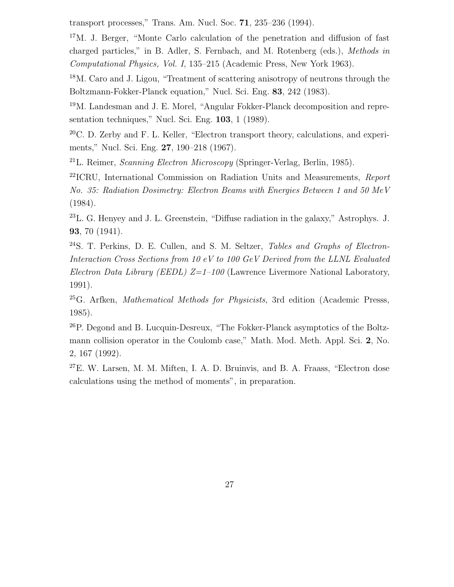transport processes," Trans. Am. Nucl. Soc. 71, 235–236 (1994).

<sup>17</sup>M. J. Berger, "Monte Carlo calculation of the penetration and diffusion of fast charged particles," in B. Adler, S. Fernbach, and M. Rotenberg (eds.), Methods in Computational Physics, Vol. I, 135–215 (Academic Press, New York 1963).

<sup>18</sup>M. Caro and J. Ligou, "Treatment of scattering anisotropy of neutrons through the Boltzmann-Fokker-Planck equation," Nucl. Sci. Eng. 83, 242 (1983).

<sup>19</sup>M. Landesman and J. E. Morel, "Angular Fokker-Planck decomposition and representation techniques," Nucl. Sci. Eng. 103, 1 (1989).

 $20^{\circ}$ C. D. Zerby and F. L. Keller, "Electron transport theory, calculations, and experiments," Nucl. Sci. Eng. 27, 190–218 (1967).

<sup>21</sup>L. Reimer, *Scanning Electron Microscopy* (Springer-Verlag, Berlin, 1985).

 $22$ ICRU, International Commission on Radiation Units and Measurements, Report No. 35: Radiation Dosimetry: Electron Beams with Energies Between 1 and 50 MeV (1984).

 $^{23}$ L. G. Henyey and J. L. Greenstein, "Diffuse radiation in the galaxy," Astrophys. J. 93, 70 (1941).

<sup>24</sup>S. T. Perkins, D. E. Cullen, and S. M. Seltzer, *Tables and Graphs of Electron*-Interaction Cross Sections from 10 eV to 100 GeV Derived from the LLNL Evaluated Electron Data Library (EEDL)  $Z=1-100$  (Lawrence Livermore National Laboratory, 1991).

 $^{25}$ G. Arfken, *Mathematical Methods for Physicists*, 3rd edition (Academic Presss, 1985).

<sup>26</sup>P. Degond and B. Lucquin-Desreux, "The Fokker-Planck asymptotics of the Boltzmann collision operator in the Coulomb case," Math. Mod. Meth. Appl. Sci. 2, No. 2, 167 (1992).

 $27E$ . W. Larsen, M. M. Miften, I. A. D. Bruinvis, and B. A. Fraass, "Electron dose calculations using the method of moments", in preparation.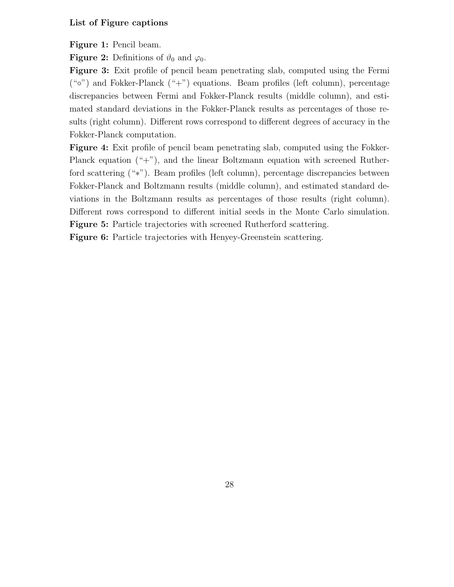## List of Figure captions

Figure 1: Pencil beam.

**Figure 2:** Definitions of  $\vartheta_0$  and  $\varphi_0$ .

Figure 3: Exit profile of pencil beam penetrating slab, computed using the Fermi  $({\cal C}^{\circ})$  and Fokker-Planck  $({\cal C}^+{\cal C})$  equations. Beam profiles (left column), percentage discrepancies between Fermi and Fokker-Planck results (middle column), and estimated standard deviations in the Fokker-Planck results as percentages of those results (right column). Different rows correspond to different degrees of accuracy in the Fokker-Planck computation.

Figure 4: Exit profile of pencil beam penetrating slab, computed using the Fokker-Planck equation ("+"), and the linear Boltzmann equation with screened Rutherford scattering ("∗"). Beam profiles (left column), percentage discrepancies between Fokker-Planck and Boltzmann results (middle column), and estimated standard deviations in the Boltzmann results as percentages of those results (right column). Different rows correspond to different initial seeds in the Monte Carlo simulation. Figure 5: Particle trajectories with screened Rutherford scattering.

Figure 6: Particle trajectories with Henyey-Greenstein scattering.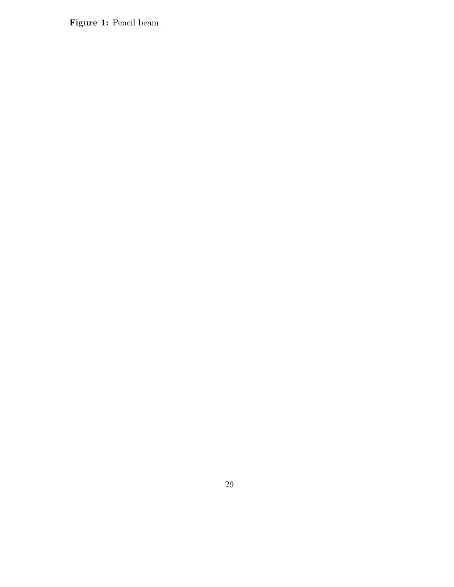Figure 1: Pencil beam.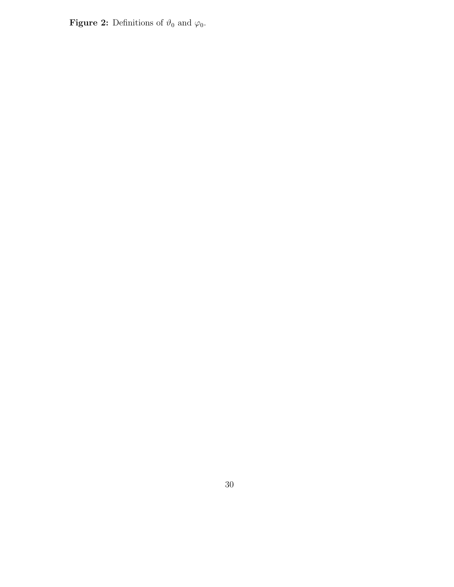**Figure 2:** Definitions of  $\vartheta_0$  and  $\varphi_0$ .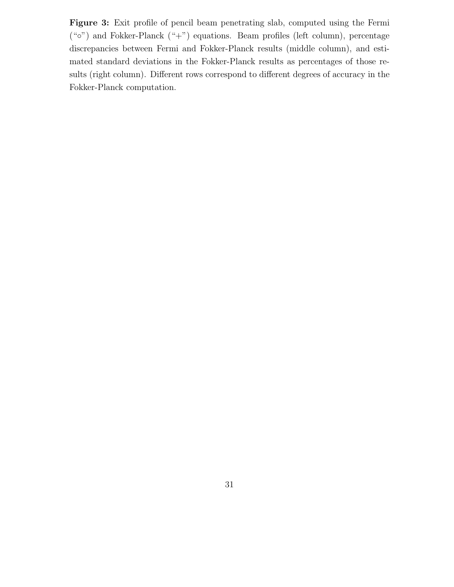Figure 3: Exit profile of pencil beam penetrating slab, computed using the Fermi  $({\cal L}^{\infty})$  and Fokker-Planck  $({\cal L}^{\infty})$  equations. Beam profiles (left column), percentage discrepancies between Fermi and Fokker-Planck results (middle column), and estimated standard deviations in the Fokker-Planck results as percentages of those results (right column). Different rows correspond to different degrees of accuracy in the Fokker-Planck computation.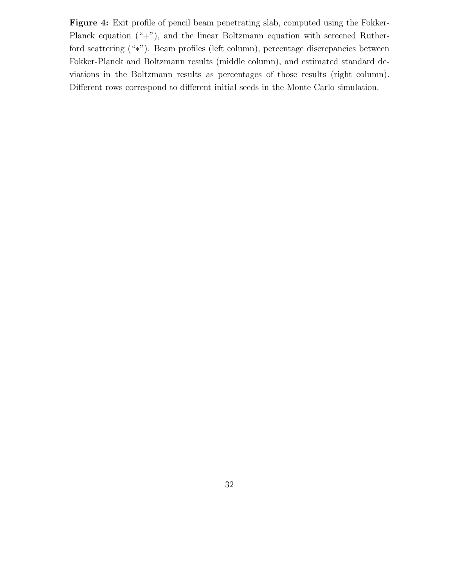Figure 4: Exit profile of pencil beam penetrating slab, computed using the Fokker-Planck equation ("+"), and the linear Boltzmann equation with screened Rutherford scattering ("∗"). Beam profiles (left column), percentage discrepancies between Fokker-Planck and Boltzmann results (middle column), and estimated standard deviations in the Boltzmann results as percentages of those results (right column). Different rows correspond to different initial seeds in the Monte Carlo simulation.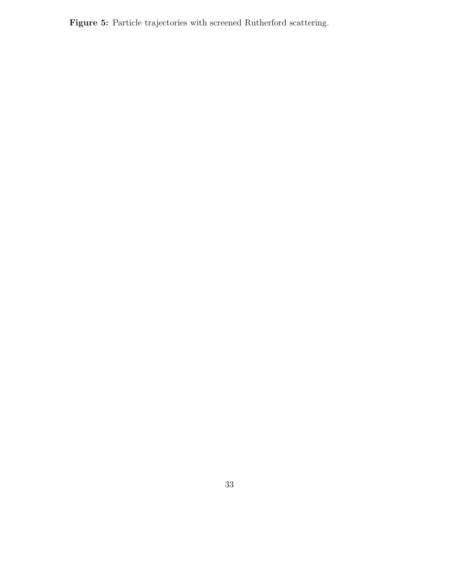Figure 5: Particle trajectories with screened Rutherford scattering.